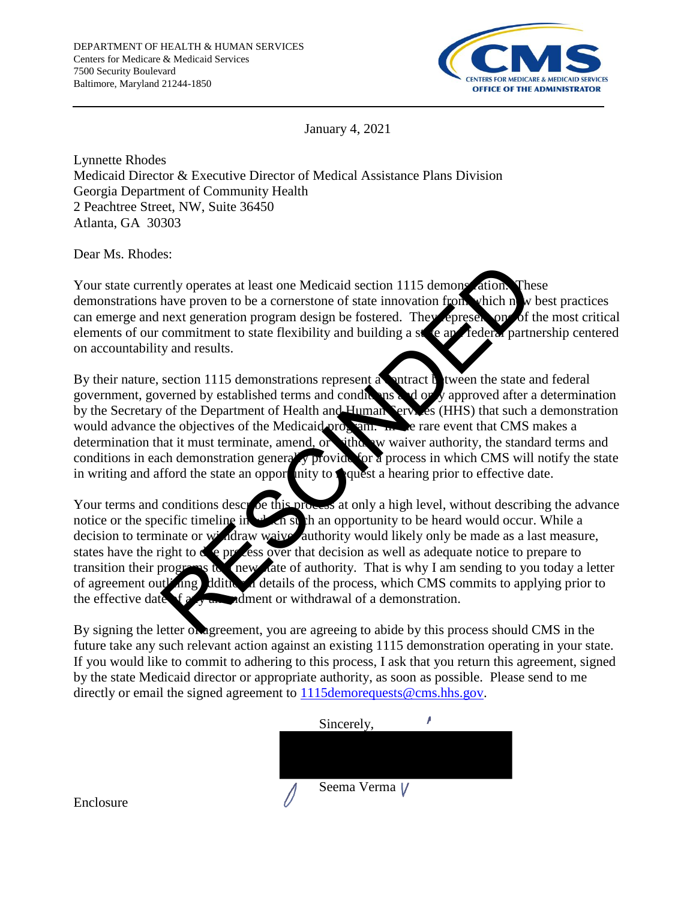

January 4, 2021

Lynnette Rhodes Medicaid Director & Executive Director of Medical Assistance Plans Division Georgia Department of Community Health 2 Peachtree Street, NW, Suite 36450 Atlanta, GA 30303

Dear Ms. Rhodes:

Your state currently operates at least one Medicaid section 1115 demonstration. These demonstrations have proven to be a cornerstone of state innovation from which  $\bf{n}$  w best practices can emerge and next generation program design be fostered. They represent one of the most critical elements of our commitment to state flexibility and building a state and federal partnership centered on accountability and results.

By their nature, section 1115 demonstrations represent a partner  $\mathfrak b$  tween the state and federal government, governed by established terms and conditions and  $\frac{1}{2}$  approved after a determination by the Secretary of the Department of Health and Human Services (HHS) that such a demonstration would advance the objectives of the Medicaid program. In the rare event that CMS makes a determination that it must terminate, amend, or withdow waiver authority, the standard terms and conditions in each demonstration generally provide for a process in which CMS will notify the state in writing and afford the state an opportunity to  $\triangle$  quest a hearing prior to effective date.

Your terms and conditions describe this process at only a high level, without describing the advance notice or the specific timeline in which such an opportunity to be heard would occur. While a decision to terminate or withdraw waive authority would likely only be made as a last measure, states have the right to due process over that decision as well as adequate notice to prepare to transition their programs to new tate of authority. That is why I am sending to you today a letter of agreement outleting details of the process, which CMS commits to applying prior to the effective date of  $\alpha$  and a demonstration. ntly operates at least one Medicaid section 1115 demonstration The<br>have proven to be a cornerstone of state innovation from which n w<br>next generation program design be fostered. They eprese, on of t<br>commitment to state fle

By signing the letter of agreement, you are agreeing to abide by this process should CMS in the future take any such relevant action against an existing 1115 demonstration operating in your state. If you would like to commit to adhering to this process, I ask that you return this agreement, signed by the state Medicaid director or appropriate authority, as soon as possible. Please send to me directly or email the signed agreement to  $1115$ demorequests@cms.hhs.gov.



Enclosure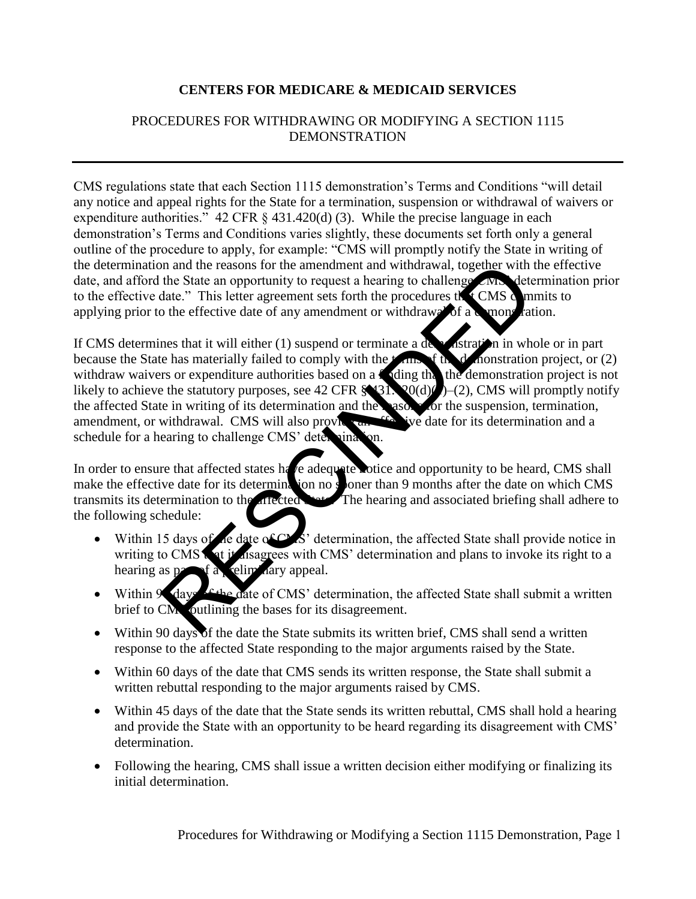## **CENTERS FOR MEDICARE & MEDICAID SERVICES**

## PROCEDURES FOR WITHDRAWING OR MODIFYING A SECTION 1115 DEMONSTRATION

CMS regulations state that each Section 1115 demonstration's Terms and Conditions "will detail any notice and appeal rights for the State for a termination, suspension or withdrawal of waivers or expenditure authorities."  $42 \text{ CFR}$   $\S$   $431.420(d)$  (3). While the precise language in each demonstration's Terms and Conditions varies slightly, these documents set forth only a general outline of the procedure to apply, for example: "CMS will promptly notify the State in writing of the determination and the reasons for the amendment and withdrawal, together with the effective date, and afford the State an opportunity to request a hearing to challenge CMS' determination prior to the effective date." This letter agreement sets forth the procedures the CMS commits to applying prior to the effective date of any amendment or withdrawal of a demonstration.

If CMS determines that it will either  $(1)$  suspend or terminate a demonstration in whole or in part because the State has materially failed to comply with the  $t_{\text{atm}}$  of the demonstration project, or (2) withdraw waivers or expenditure authorities based on a  $f$  ding that the demonstration project is not likely to achieve the statutory purposes, see 42 CFR  $\mathcal{L}(d)(d)$ –(2), CMS will promptly notify the affected State in writing of its determination and the reasons for the suspension, termination, amendment, or withdrawal. CMS will also provide  $a_n$  effective date for its determination and a schedule for a hearing to challenge CMS' determination. In and the reasons for the amendment and withdrawal, together with the State and opportunity to request a hearing to challenge. This letter greenent sets forth the procedures the CMS of the effective date of any amendment

In order to ensure that affected states have adequate notice and opportunity to be heard, CMS shall make the effective date for its determination no solution of 9 months after the date on which CMS transmits its determination to the affected State. The hearing and associated briefing shall adhere to the following schedule:

- Within 15 days of the date of  $C\Lambda$ S' determination, the affected State shall provide notice in writing to CMS that it assumes with CMS' determination and plans to invoke its right to a hearing as  $p \rightarrow f$  a preliminary appeal.
- $\bullet$  Within 9 days  $\bullet$  the date of CMS' determination, the affected State shall submit a written brief to CMS outlining the bases for its disagreement.
- Within 90 days of the date the State submits its written brief, CMS shall send a written response to the affected State responding to the major arguments raised by the State.
- Within 60 days of the date that CMS sends its written response, the State shall submit a written rebuttal responding to the major arguments raised by CMS.
- Within 45 days of the date that the State sends its written rebuttal, CMS shall hold a hearing and provide the State with an opportunity to be heard regarding its disagreement with CMS' determination.
- Following the hearing, CMS shall issue a written decision either modifying or finalizing its initial determination.